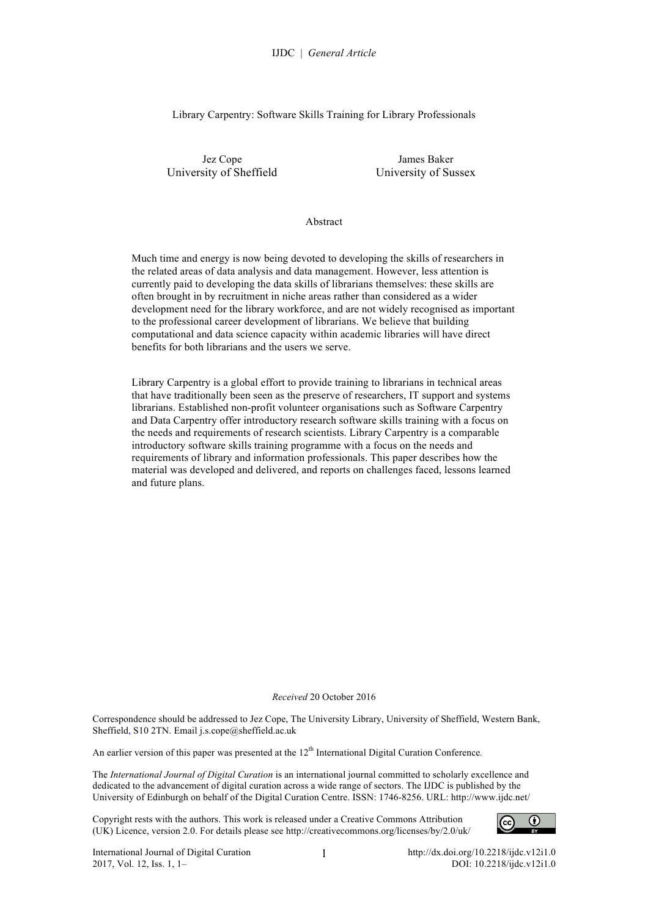Library Carpentry: Software Skills Training for Library Professionals

Jez Cope University of Sheffield

James Baker University of Sussex

Abstract

Much time and energy is now being devoted to developing the skills of researchers in the related areas of data analysis and data management. However, less attention is currently paid to developing the data skills of librarians themselves: these skills are often brought in by recruitment in niche areas rather than considered as a wider development need for the library workforce, and are not widely recognised as important to the professional career development of librarians. We believe that building computational and data science capacity within academic libraries will have direct benefits for both librarians and the users we serve.

Library Carpentry is a global effort to provide training to librarians in technical areas that have traditionally been seen as the preserve of researchers, IT support and systems librarians. Established non-profit volunteer organisations such as Software Carpentry and Data Carpentry offer introductory research software skills training with a focus on the needs and requirements of research scientists. Library Carpentry is a comparable introductory software skills training programme with a focus on the needs and requirements of library and information professionals. This paper describes how the material was developed and delivered, and reports on challenges faced, lessons learned and future plans.

#### *Received* 20 October 2016

Correspondence should be addressed to Jez Cope, The University Library, University of Sheffield, Western Bank, Sheffield, S10 2TN. Email j.s.cope@sheffield.ac.uk

An earlier version of this paper was presented at the 12<sup>th</sup> International Digital Curation Conference.

The *International Journal of Digital Curation* is an international journal committed to scholarly excellence and dedicated to the advancement of digital curation across a wide range of sectors. The IJDC is published by the University of Edinburgh on behalf of the Digital Curation Centre. ISSN: 1746-8256. URL: http://www.ijdc.net/

Copyright rests with the authors. This work is released under a Creative Commons Attribution (UK) Licence, version 2.0. For details please see http://creativecommons.org/licenses/by/2.0/uk/

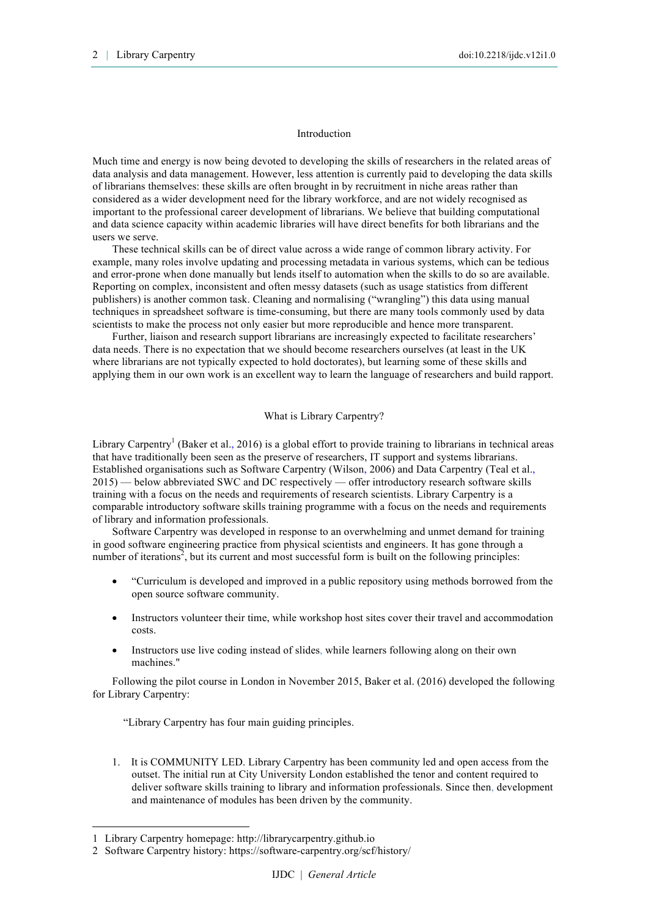#### Introduction

Much time and energy is now being devoted to developing the skills of researchers in the related areas of data analysis and data management. However, less attention is currently paid to developing the data skills of librarians themselves: these skills are often brought in by recruitment in niche areas rather than considered as a wider development need for the library workforce, and are not widely recognised as important to the professional career development of librarians. We believe that building computational and data science capacity within academic libraries will have direct benefits for both librarians and the users we serve.

These technical skills can be of direct value across a wide range of common library activity. For example, many roles involve updating and processing metadata in various systems, which can be tedious and error-prone when done manually but lends itself to automation when the skills to do so are available. Reporting on complex, inconsistent and often messy datasets (such as usage statistics from different publishers) is another common task. Cleaning and normalising ("wrangling") this data using manual techniques in spreadsheet software is time-consuming, but there are many tools commonly used by data scientists to make the process not only easier but more reproducible and hence more transparent.

Further, liaison and research support librarians are increasingly expected to facilitate researchers' data needs. There is no expectation that we should become researchers ourselves (at least in the UK where librarians are not typically expected to hold doctorates), but learning some of these skills and applying them in our own work is an excellent way to learn the language of researchers and build rapport.

# What is Library Carpentry?

Library Carpentry<sup>1</sup> (Baker et al., 2016) is a global effort to provide training to librarians in technical areas that have traditionally been seen as the preserve of researchers, IT support and systems librarians. Established organisations such as Software Carpentry (Wilson, 2006) and Data Carpentry (Teal et al., 2015) — below abbreviated SWC and DC respectively — offer introductory research software skills training with a focus on the needs and requirements of research scientists. Library Carpentry is a comparable introductory software skills training programme with a focus on the needs and requirements of library and information professionals.

Software Carpentry was developed in response to an overwhelming and unmet demand for training in good software engineering practice from physical scientists and engineers. It has gone through a number of iterations<sup>2</sup>, but its current and most successful form is built on the following principles:

- "Curriculum is developed and improved in a public repository using methods borrowed from the open source software community.
- Instructors volunteer their time, while workshop host sites cover their travel and accommodation costs.
- Instructors use live coding instead of slides, while learners following along on their own machines."

Following the pilot course in London in November 2015, Baker et al. (2016) developed the following for Library Carpentry:

"Library Carpentry has four main guiding principles.

1. It is COMMUNITY LED. Library Carpentry has been community led and open access from the outset. The initial run at City University London established the tenor and content required to deliver software skills training to library and information professionals. Since then, development and maintenance of modules has been driven by the community.

l

<sup>1</sup> Library Carpentry homepage: http://librarycarpentry.github.io

<sup>2</sup> Software Carpentry history: https://software-carpentry.org/scf/history/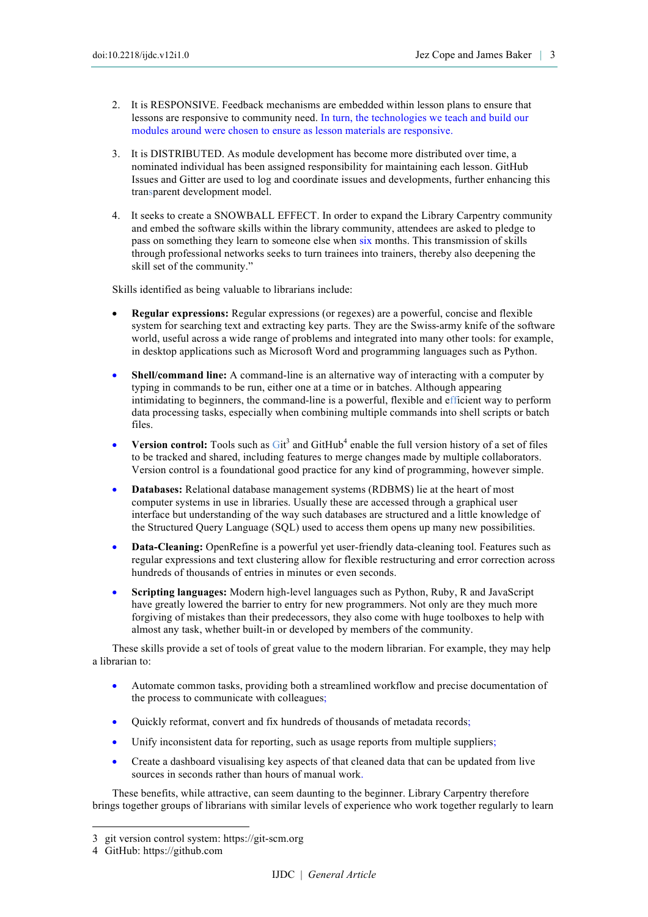- 2. It is RESPONSIVE. Feedback mechanisms are embedded within lesson plans to ensure that lessons are responsive to community need. In turn, the technologies we teach and build our modules around were chosen to ensure as lesson materials are responsive.
- 3. It is DISTRIBUTED. As module development has become more distributed over time, a nominated individual has been assigned responsibility for maintaining each lesson. GitHub Issues and Gitter are used to log and coordinate issues and developments, further enhancing this transparent development model.
- 4. It seeks to create a SNOWBALL EFFECT. In order to expand the Library Carpentry community and embed the software skills within the library community, attendees are asked to pledge to pass on something they learn to someone else when six months. This transmission of skills through professional networks seeks to turn trainees into trainers, thereby also deepening the skill set of the community."

Skills identified as being valuable to librarians include:

- **Regular expressions:** Regular expressions (or regexes) are a powerful, concise and flexible system for searching text and extracting key parts. They are the Swiss-army knife of the software world, useful across a wide range of problems and integrated into many other tools: for example, in desktop applications such as Microsoft Word and programming languages such as Python.
- **Shell/command line:** A command-line is an alternative way of interacting with a computer by typing in commands to be run, either one at a time or in batches. Although appearing intimidating to beginners, the command-line is a powerful, flexible and efficient way to perform data processing tasks, especially when combining multiple commands into shell scripts or batch files.
- **Version control:** Tools such as  $\text{Git}^3$  and  $\text{GitHub}^4$  enable the full version history of a set of files to be tracked and shared, including features to merge changes made by multiple collaborators. Version control is a foundational good practice for any kind of programming, however simple.
- **Databases:** Relational database management systems (RDBMS) lie at the heart of most computer systems in use in libraries. Usually these are accessed through a graphical user interface but understanding of the way such databases are structured and a little knowledge of the Structured Query Language (SQL) used to access them opens up many new possibilities.
- **Data-Cleaning:** OpenRefine is a powerful yet user-friendly data-cleaning tool. Features such as regular expressions and text clustering allow for flexible restructuring and error correction across hundreds of thousands of entries in minutes or even seconds.
- **Scripting languages:** Modern high-level languages such as Python, Ruby, R and JavaScript have greatly lowered the barrier to entry for new programmers. Not only are they much more forgiving of mistakes than their predecessors, they also come with huge toolboxes to help with almost any task, whether built-in or developed by members of the community.

These skills provide a set of tools of great value to the modern librarian. For example, they may help a librarian to:

- Automate common tasks, providing both a streamlined workflow and precise documentation of the process to communicate with colleagues;
- Quickly reformat, convert and fix hundreds of thousands of metadata records;
- Unify inconsistent data for reporting, such as usage reports from multiple suppliers;
- Create a dashboard visualising key aspects of that cleaned data that can be updated from live sources in seconds rather than hours of manual work.

These benefits, while attractive, can seem daunting to the beginner. Library Carpentry therefore brings together groups of librarians with similar levels of experience who work together regularly to learn

l

<sup>3</sup> git version control system: https://git-scm.org

<sup>4</sup> GitHub: https://github.com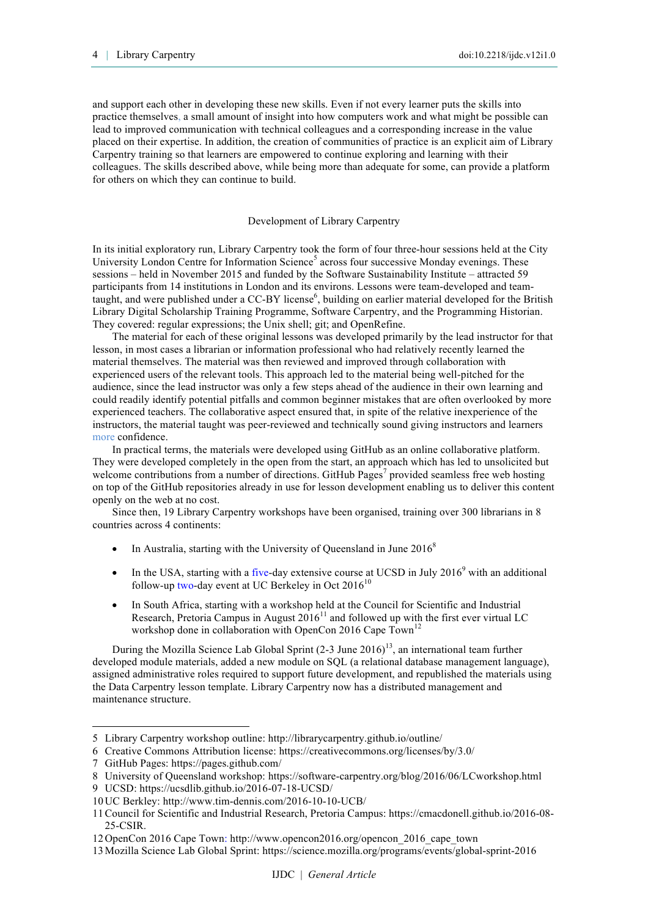and support each other in developing these new skills. Even if not every learner puts the skills into practice themselves, a small amount of insight into how computers work and what might be possible can lead to improved communication with technical colleagues and a corresponding increase in the value placed on their expertise. In addition, the creation of communities of practice is an explicit aim of Library Carpentry training so that learners are empowered to continue exploring and learning with their colleagues. The skills described above, while being more than adequate for some, can provide a platform for others on which they can continue to build.

## Development of Library Carpentry

In its initial exploratory run, Library Carpentry took the form of four three-hour sessions held at the City University London Centre for Information Science<sup>5</sup> across four successive Monday evenings. These sessions – held in November 2015 and funded by the Software Sustainability Institute – attracted 59 participants from 14 institutions in London and its environs. Lessons were team-developed and teamtaught, and were published under a CC-BY license<sup>6</sup>, building on earlier material developed for the British Library Digital Scholarship Training Programme, Software Carpentry, and the Programming Historian. They covered: regular expressions; the Unix shell; git; and OpenRefine.

The material for each of these original lessons was developed primarily by the lead instructor for that lesson, in most cases a librarian or information professional who had relatively recently learned the material themselves. The material was then reviewed and improved through collaboration with experienced users of the relevant tools. This approach led to the material being well-pitched for the audience, since the lead instructor was only a few steps ahead of the audience in their own learning and could readily identify potential pitfalls and common beginner mistakes that are often overlooked by more experienced teachers. The collaborative aspect ensured that, in spite of the relative inexperience of the instructors, the material taught was peer-reviewed and technically sound giving instructors and learners more confidence.

In practical terms, the materials were developed using GitHub as an online collaborative platform. They were developed completely in the open from the start, an approach which has led to unsolicited but welcome contributions from a number of directions. GitHub Pages<sup>7</sup> provided seamless free web hosting on top of the GitHub repositories already in use for lesson development enabling us to deliver this content openly on the web at no cost.

Since then, 19 Library Carpentry workshops have been organised, training over 300 librarians in 8 countries across 4 continents:

- In Australia, starting with the University of Queensland in June  $2016<sup>8</sup>$
- In the USA, starting with a five-day extensive course at UCSD in July 2016 $^9$  with an additional follow-up two-day event at UC Berkeley in Oct  $2016^{10}$
- In South Africa, starting with a workshop held at the Council for Scientific and Industrial Research, Pretoria Campus in August  $2016<sup>11</sup>$  and followed up with the first ever virtual LC workshop done in collaboration with OpenCon 2016 Cape Town<sup>1</sup>

During the Mozilla Science Lab Global Sprint  $(2-3$  June  $2016)^{13}$ , an international team further developed module materials, added a new module on SQL (a relational database management language), assigned administrative roles required to support future development, and republished the materials using the Data Carpentry lesson template. Library Carpentry now has a distributed management and maintenance structure.

l

<sup>5</sup> Library Carpentry workshop outline: http://librarycarpentry.github.io/outline/

<sup>6</sup> Creative Commons Attribution license: https://creativecommons.org/licenses/by/3.0/

<sup>7</sup> GitHub Pages: https://pages.github.com/

<sup>8</sup> University of Queensland workshop: https://software-carpentry.org/blog/2016/06/LCworkshop.html

<sup>9</sup> UCSD: https://ucsdlib.github.io/2016-07-18-UCSD/

<sup>10</sup>UC Berkley: http://www.tim-dennis.com/2016-10-10-UCB/

<sup>11</sup>Council for Scientific and Industrial Research, Pretoria Campus: https://cmacdonell.github.io/2016-08- 25-CSIR.

<sup>12</sup>OpenCon 2016 Cape Town: http://www.opencon2016.org/opencon\_2016\_cape\_town

<sup>13</sup>Mozilla Science Lab Global Sprint: https://science.mozilla.org/programs/events/global-sprint-2016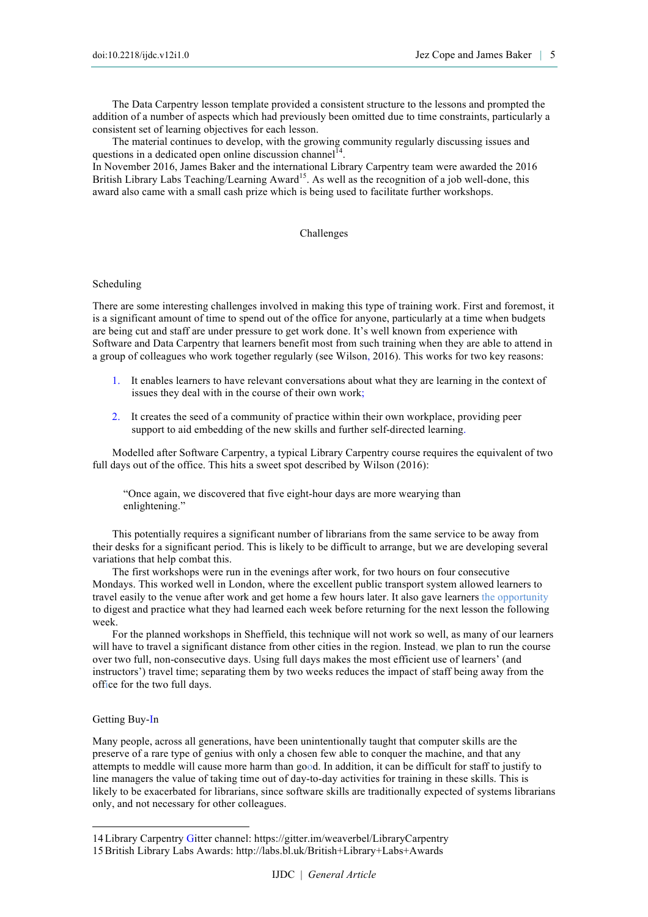The Data Carpentry lesson template provided a consistent structure to the lessons and prompted the addition of a number of aspects which had previously been omitted due to time constraints, particularly a consistent set of learning objectives for each lesson.

The material continues to develop, with the growing community regularly discussing issues and questions in a dedicated open online discussion channel<sup>14</sup>

In November 2016, James Baker and the international Library Carpentry team were awarded the 2016 British Library Labs Teaching/Learning Award<sup>15</sup>. As well as the recognition of a job well-done, this award also came with a small cash prize which is being used to facilitate further workshops.

#### Challenges

## Scheduling

There are some interesting challenges involved in making this type of training work. First and foremost, it is a significant amount of time to spend out of the office for anyone, particularly at a time when budgets are being cut and staff are under pressure to get work done. It's well known from experience with Software and Data Carpentry that learners benefit most from such training when they are able to attend in a group of colleagues who work together regularly (see Wilson, 2016). This works for two key reasons:

- 1. It enables learners to have relevant conversations about what they are learning in the context of issues they deal with in the course of their own work;
- 2. It creates the seed of a community of practice within their own workplace, providing peer support to aid embedding of the new skills and further self-directed learning.

Modelled after Software Carpentry, a typical Library Carpentry course requires the equivalent of two full days out of the office. This hits a sweet spot described by Wilson (2016):

"Once again, we discovered that five eight-hour days are more wearying than enlightening."

This potentially requires a significant number of librarians from the same service to be away from their desks for a significant period. This is likely to be difficult to arrange, but we are developing several variations that help combat this.

The first workshops were run in the evenings after work, for two hours on four consecutive Mondays. This worked well in London, where the excellent public transport system allowed learners to travel easily to the venue after work and get home a few hours later. It also gave learners the opportunity to digest and practice what they had learned each week before returning for the next lesson the following week.

For the planned workshops in Sheffield, this technique will not work so well, as many of our learners will have to travel a significant distance from other cities in the region. Instead, we plan to run the course over two full, non-consecutive days. Using full days makes the most efficient use of learners' (and instructors') travel time; separating them by two weeks reduces the impact of staff being away from the office for the two full days.

## Getting Buy-In

l

Many people, across all generations, have been unintentionally taught that computer skills are the preserve of a rare type of genius with only a chosen few able to conquer the machine, and that any attempts to meddle will cause more harm than good. In addition, it can be difficult for staff to justify to line managers the value of taking time out of day-to-day activities for training in these skills. This is likely to be exacerbated for librarians, since software skills are traditionally expected of systems librarians only, and not necessary for other colleagues.

<sup>14</sup>Library Carpentry Gitter channel: https://gitter.im/weaverbel/LibraryCarpentry 15British Library Labs Awards: http://labs.bl.uk/British+Library+Labs+Awards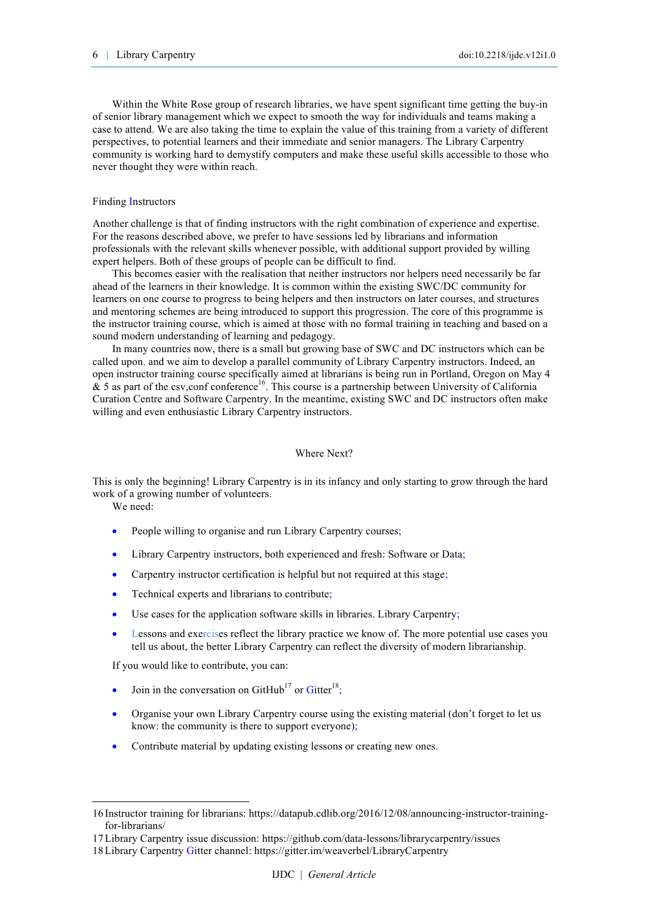Within the White Rose group of research libraries, we have spent significant time getting the buy-in of senior library management which we expect to smooth the way for individuals and teams making a case to attend. We are also taking the time to explain the value of this training from a variety of different perspectives, to potential learners and their immediate and senior managers. The Library Carpentry community is working hard to demystify computers and make these useful skills accessible to those who never thought they were within reach.

#### Finding Instructors

Another challenge is that of finding instructors with the right combination of experience and expertise. For the reasons described above, we prefer to have sessions led by librarians and information professionals with the relevant skills whenever possible, with additional support provided by willing expert helpers. Both of these groups of people can be difficult to find.

This becomes easier with the realisation that neither instructors nor helpers need necessarily be far ahead of the learners in their knowledge. It is common within the existing SWC/DC community for learners on one course to progress to being helpers and then instructors on later courses, and structures and mentoring schemes are being introduced to support this progression. The core of this programme is the instructor training course, which is aimed at those with no formal training in teaching and based on a sound modern understanding of learning and pedagogy.

In many countries now, there is a small but growing base of SWC and DC instructors which can be called upon, and we aim to develop a parallel community of Library Carpentry instructors. Indeed, an open instructor training course specifically aimed at librarians is being run in Portland, Oregon on May 4  $\&$  5 as part of the csv, conf conference<sup>16</sup>. This course is a partnership between University of California Curation Centre and Software Carpentry. In the meantime, existing SWC and DC instructors often make willing and even enthusiastic Library Carpentry instructors.

## Where Next?

This is only the beginning! Library Carpentry is in its infancy and only starting to grow through the hard work of a growing number of volunteers.

We need:

l

- People willing to organise and run Library Carpentry courses;
- Library Carpentry instructors, both experienced and fresh: Software or Data;
- Carpentry instructor certification is helpful but not required at this stage;
- Technical experts and librarians to contribute;
- Use cases for the application software skills in libraries. Library Carpentry;
- Lessons and exercises reflect the library practice we know of. The more potential use cases you tell us about, the better Library Carpentry can reflect the diversity of modern librarianship.

If you would like to contribute, you can:

- Join in the conversation on GitHub<sup>17</sup> or Gitter<sup>18</sup>;
- Organise your own Library Carpentry course using the existing material (don't forget to let us know: the community is there to support everyone);
- Contribute material by updating existing lessons or creating new ones.

<sup>16</sup> Instructor training for librarians: https://datapub.cdlib.org/2016/12/08/announcing-instructor-trainingfor-librarians/

<sup>17</sup>Library Carpentry issue discussion: https://github.com/data-lessons/librarycarpentry/issues

<sup>18</sup>Library Carpentry Gitter channel: https://gitter.im/weaverbel/LibraryCarpentry